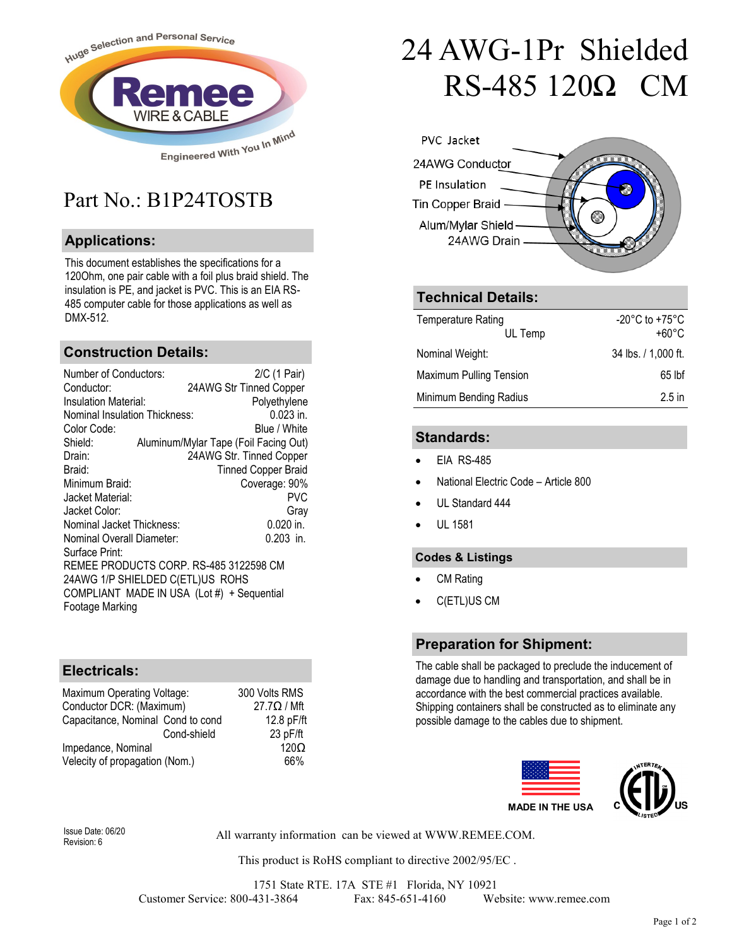

## Part No · B1P24TOSTB

### **Applications:**

This document establishes the specifications for a 120Ohm, one pair cable with a foil plus braid shield. The insulation is PE, and jacket is PVC. This is an EIA RS-485 computer cable for those applications as well as DMX-512.

#### **Construction Details:**

| Number of Conductors:                      | 2/C (1 Pair)                          |  |
|--------------------------------------------|---------------------------------------|--|
| Conductor:                                 | 24AWG Str Tinned Copper               |  |
| Insulation Material:                       | Polyethylene                          |  |
| <b>Nominal Insulation Thickness:</b>       | $0.023$ in.                           |  |
| Color Code:                                | Blue / White                          |  |
| Shield:                                    | Aluminum/Mylar Tape (Foil Facing Out) |  |
| Drain:                                     | 24AWG Str. Tinned Copper              |  |
| Braid:                                     | <b>Tinned Copper Braid</b>            |  |
| Minimum Braid:                             | Coverage: 90%                         |  |
| Jacket Material:                           | PVC                                   |  |
| Jacket Color:                              | Gray                                  |  |
| Nominal Jacket Thickness:                  | 0.020 in.                             |  |
| Nominal Overall Diameter:                  | $0.203$ in.                           |  |
| Surface Print:                             |                                       |  |
| REMEE PRODUCTS CORP. RS-485 3122598 CM     |                                       |  |
| 24AWG 1/P SHIELDED C(ETL)US ROHS           |                                       |  |
| COMPLIANT MADE IN USA (Lot #) + Sequential |                                       |  |
| Footage Marking                            |                                       |  |

#### **Electricals:**

| Maximum Operating Voltage:        | 300 Volts RMS      |
|-----------------------------------|--------------------|
| Conductor DCR: (Maximum)          | $27.7\Omega / Mft$ |
| Capacitance, Nominal Cond to cond | 12.8 pF/ft         |
| Cond-shield                       | 23 pF/ft           |
| Impedance, Nominal                | 120 <sub>O</sub>   |
| Velecity of propagation (Nom.)    | 66%                |

# 24 AWG-1Pr Shielded RS-485 120Ω CM



#### **Technical Details:**

| <b>Temperature Rating</b><br>UL Temp | -20 $^{\circ}$ C to +75 $^{\circ}$ C<br>+60°C |
|--------------------------------------|-----------------------------------------------|
| Nominal Weight:                      | 34 lbs. / 1,000 ft.                           |
| Maximum Pulling Tension              | 65 lbf                                        |
| Minimum Bending Radius               | $2.5$ in                                      |

#### **Standards:**

- EIA RS-485
- National Electric Code Article 800
- UL Standard 444
- UL 1581

#### **Codes & Listings**

- CM Rating
- C(ETL)US CM

#### **Preparation for Shipment:**

The cable shall be packaged to preclude the inducement of damage due to handling and transportation, and shall be in accordance with the best commercial practices available. Shipping containers shall be constructed as to eliminate any possible damage to the cables due to shipment.



Revision: 6

All warranty information can be viewed at WWW.REMEE.COM. Issue Date: 06/20

This product is RoHS compliant to directive 2002/95/EC .

1751 State RTE. 17A STE #1 Florida, NY 10921 Customer Service: 800-431-3864 Fax: 845-651-4160 Website: www.remee.com